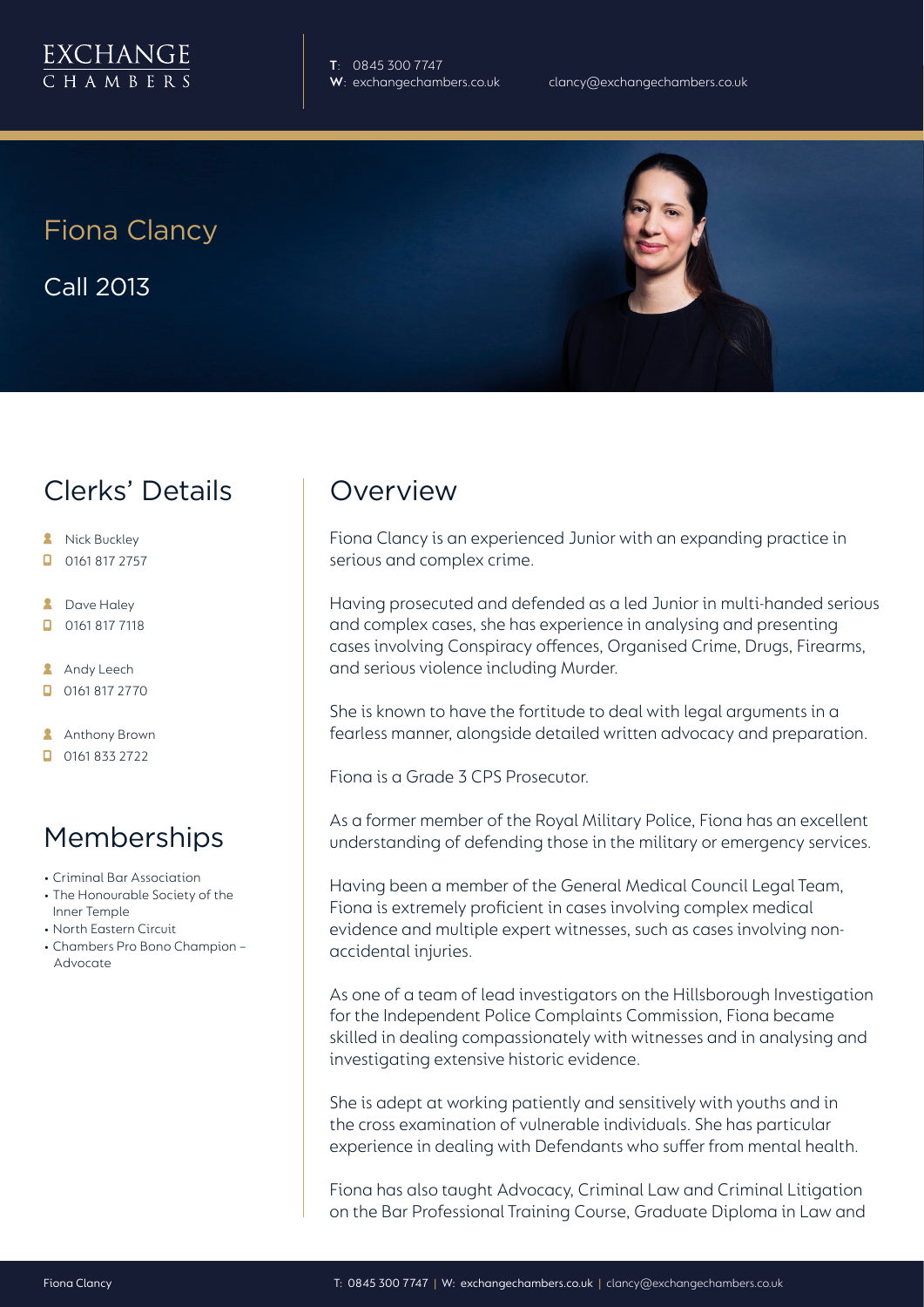**T**: 0845 300 7747

Fiona Clancy Call 2013

## Clerks' Details

- **A** Nick Buckley
- $\Box$  0161 817 2757
- **2** Dave Haley
- $\Box$ 0161 817 7118
- **Andy Leech**
- 0161 817 2770

**Anthony Brown** 

 $\Box$  0161 833 2722

## Memberships

- Criminal Bar Association
- The Honourable Society of the Inner Temple
- North Eastern Circuit
- Chambers Pro Bono Champion **Advocate**

## **Overview**

Fiona Clancy is an experienced Junior with an expanding practice in serious and complex crime.

Having prosecuted and defended as a led Junior in multi-handed serious and complex cases, she has experience in analysing and presenting cases involving Conspiracy offences, Organised Crime, Drugs, Firearms, and serious violence including Murder.

She is known to have the fortitude to deal with legal arguments in a fearless manner, alongside detailed written advocacy and preparation.

Fiona is a Grade 3 CPS Prosecutor.

As a former member of the Royal Military Police, Fiona has an excellent understanding of defending those in the military or emergency services.

Having been a member of the General Medical Council Legal Team, Fiona is extremely proficient in cases involving complex medical evidence and multiple expert witnesses, such as cases involving nonaccidental injuries.

As one of a team of lead investigators on the Hillsborough Investigation for the Independent Police Complaints Commission, Fiona became skilled in dealing compassionately with witnesses and in analysing and investigating extensive historic evidence.

She is adept at working patiently and sensitively with youths and in the cross examination of vulnerable individuals. She has particular experience in dealing with Defendants who suffer from mental health.

Fiona has also taught Advocacy, Criminal Law and Criminal Litigation on the Bar Professional Training Course, Graduate Diploma in Law and